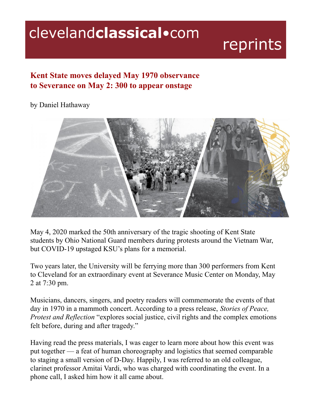## clevelandclassical.com

## reprints

## **Kent State moves delayed May 1970 observance to Severance on May 2: 300 to appear onstage**

## by Daniel Hathaway



May 4, 2020 marked the 50th anniversary of the tragic shooting of Kent State students by Ohio National Guard members during protests around the Vietnam War, but COVID-19 upstaged KSU's plans for a memorial.

Two years later, the University will be ferrying more than 300 performers from Kent to Cleveland for an extraordinary event at Severance Music Center on Monday, May 2 at 7:30 pm.

Musicians, dancers, singers, and poetry readers will commemorate the events of that day in 1970 in a mammoth concert. According to a press release, *Stories of Peace, Protest and Reflection* "explores social justice, civil rights and the complex emotions felt before, during and after tragedy."

Having read the press materials, I was eager to learn more about how this event was put together — a feat of human choreography and logistics that seemed comparable to staging a small version of D-Day. Happily, I was referred to an old colleague, clarinet professor Amitai Vardi, who was charged with coordinating the event. In a phone call, I asked him how it all came about.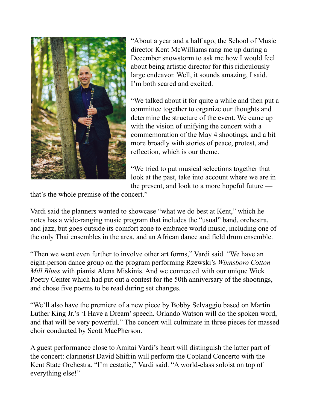

"About a year and a half ago, the School of Music director Kent McWilliams rang me up during a December snowstorm to ask me how I would feel about being artistic director for this ridiculously large endeavor. Well, it sounds amazing, I said. I'm both scared and excited.

"We talked about it for quite a while and then put a committee together to organize our thoughts and determine the structure of the event. We came up with the vision of unifying the concert with a commemoration of the May 4 shootings, and a bit more broadly with stories of peace, protest, and reflection, which is our theme.

"We tried to put musical selections together that look at the past, take into account where we are in the present, and look to a more hopeful future —

that's the whole premise of the concert."

Vardi said the planners wanted to showcase "what we do best at Kent," which he notes has a wide-ranging music program that includes the "usual" band, orchestra, and jazz, but goes outside its comfort zone to embrace world music, including one of the only Thai ensembles in the area, and an African dance and field drum ensemble.

"Then we went even further to involve other art forms," Vardi said. "We have an eight-person dance group on the program performing Rzewski's *Winnsboro Cotton Mill Blues* with pianist Alena Miskinis. And we connected with our unique Wick Poetry Center which had put out a contest for the 50th anniversary of the shootings, and chose five poems to be read during set changes.

"We'll also have the premiere of a new piece by Bobby Selvaggio based on Martin Luther King Jr.'s 'I Have a Dream'speech. Orlando Watson will do the spoken word, and that will be very powerful." The concert will culminate in three pieces for massed choir conducted by Scott MacPherson.

A guest performance close to Amitai Vardi's heart will distinguish the latter part of the concert: clarinetist David Shifrin will perform the Copland Concerto with the Kent State Orchestra. "I'm ecstatic," Vardi said. "A world-class soloist on top of everything else!"